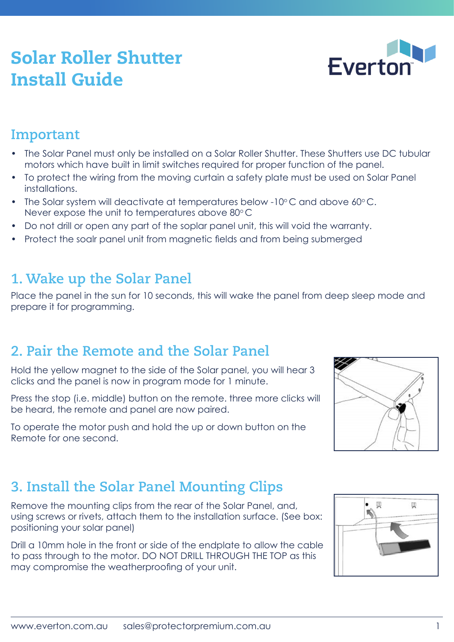# Solar Roller Shutter Install Guide

#### **Important**

- The Solar Panel must only be installed on a Solar Roller Shutter. These Shutters use DC tubular motors which have built in limit switches required for proper function of the panel.
- To protect the wiring from the moving curtain a safety plate must be used on Solar Panel installations.
- The Solar system will deactivate at temperatures below -10 $\degree$ C and above 60 $\degree$ C. Never expose the unit to temperatures above  $80^{\circ}$ C
- Do not drill or open any part of the soplar panel unit, this will void the warranty.
- Protect the soalr panel unit from magnetic fields and from being submerged

#### **1. Wake up the Solar Panel**

Place the panel in the sun for 10 seconds, this will wake the panel from deep sleep mode and prepare it for programming.

#### **2. Pair the Remote and the Solar Panel**

Hold the yellow magnet to the side of the Solar panel, you will hear 3 clicks and the panel is now in program mode for 1 minute.

Press the stop (i.e. middle) button on the remote. three more clicks will be heard, the remote and panel are now paired.

To operate the motor push and hold the up or down button on the Remote for one second.

# **3. Install the Solar Panel Mounting Clips**

Remove the mounting clips from the rear of the Solar Panel, and, using screws or rivets, attach them to the installation surface. (See box: positioning your solar panel)

Drill a 10mm hole in the front or side of the endplate to allow the cable to pass through to the motor. DO NOT DRILL THROUGH THE TOP as this may compromise the weatherproofing of your unit.